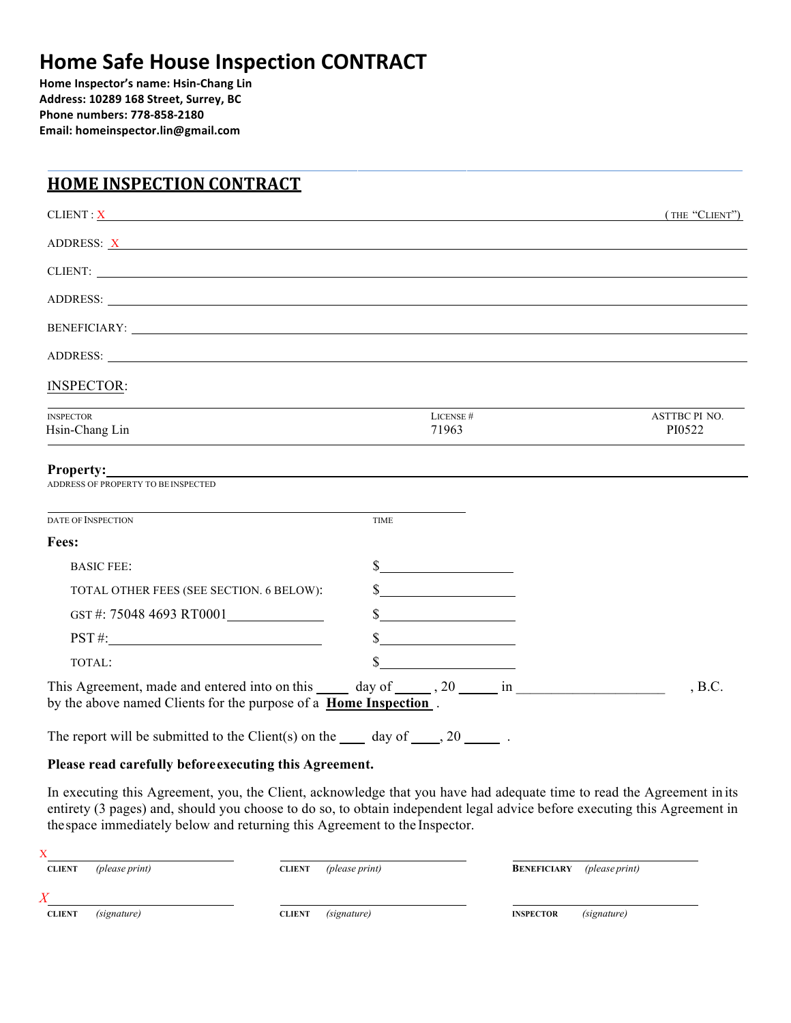# **Home Safe House Inspection CONTRACT**

**Home Inspector's name: Hsin-Chang Lin Address: 10289 168 Street, Surrey, BC Phone numbers: 778-858-2180 Email: homeinspector.lin@gmail.com**

### **HOME INSPECTION CONTRACT**

| CLIENT: X                                                                                                                                                                                  |                                             | (THE "CLIENT")                 |
|--------------------------------------------------------------------------------------------------------------------------------------------------------------------------------------------|---------------------------------------------|--------------------------------|
| ADDRESS: <u>X</u>                                                                                                                                                                          |                                             |                                |
| CLIENT:                                                                                                                                                                                    |                                             |                                |
|                                                                                                                                                                                            |                                             |                                |
|                                                                                                                                                                                            |                                             |                                |
|                                                                                                                                                                                            |                                             |                                |
| <b>INSPECTOR:</b>                                                                                                                                                                          |                                             |                                |
| <b>INSPECTOR</b><br>Hsin-Chang Lin                                                                                                                                                         | LICENSE #<br>71963                          | <b>ASTTBC PI NO.</b><br>PI0522 |
| <b>Property:</b><br>ADDRESS OF PROPERTY TO BE INSPECTED<br>DATE OF INSPECTION                                                                                                              | <b>TIME</b>                                 |                                |
| Fees:                                                                                                                                                                                      |                                             |                                |
| <b>BASIC FEE:</b>                                                                                                                                                                          | $\frac{\text{S}}{\text{S}}$                 |                                |
| TOTAL OTHER FEES (SEE SECTION. 6 BELOW):                                                                                                                                                   | $\frac{\text{S}}{\text{S}}$                 |                                |
| GST#: 75048 4693 RT0001                                                                                                                                                                    |                                             |                                |
| $\overline{PST}$ #:                                                                                                                                                                        |                                             |                                |
| TOTAL:                                                                                                                                                                                     | \$<br><u> 1989 - Jan Barbara III, martx</u> |                                |
| This Agreement, made and entered into on this _______ day of _______, 20 ______ in ___________________________<br>by the above named Clients for the purpose of a <b>Home Inspection</b> . |                                             | , B.C.                         |
| The report will be submitted to the Client(s) on the $\_\_\_\_$ day of $\_\_\_\_$ , 20 $\_\_\_\_\_\$ .                                                                                     |                                             |                                |

#### **Please read carefully beforeexecuting this Agreement.**

In executing this Agreement, you, the Client, acknowledge that you have had adequate time to read the Agreement in its entirety (3 pages) and, should you choose to do so, to obtain independent legal advice before executing this Agreement in thespace immediately below and returning this Agreement to the Inspector.

| <b>CLIENT</b> | (please print) | (please print)<br><b>CLIENT</b> | (please print)<br><b>BENEFICIARY</b> |
|---------------|----------------|---------------------------------|--------------------------------------|
| $\bar{X}$     |                |                                 |                                      |
| <b>CLIENT</b> | (signature)    | (signature)<br><b>CLIENT</b>    | (signature)<br><b>INSPECTOR</b>      |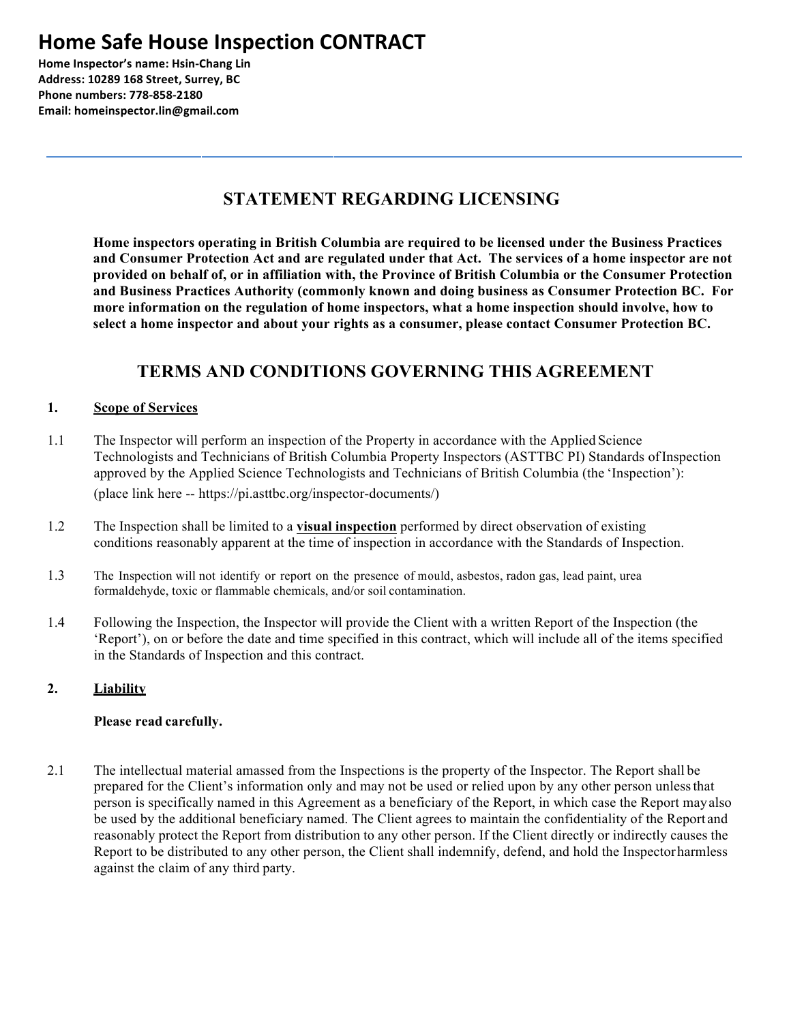## **Home Safe House Inspection CONTRACT**

**Home Inspector's name: Hsin-Chang Lin Address: 10289 168 Street, Surrey, BC Phone numbers: 778-858-2180 Email: homeinspector.lin@gmail.com**

### **STATEMENT REGARDING LICENSING**

**Home inspectors operating in British Columbia are required to be licensed under the Business Practices and Consumer Protection Act and are regulated under that Act. The services of a home inspector are not provided on behalf of, or in affiliation with, the Province of British Columbia or the Consumer Protection and Business Practices Authority (commonly known and doing business as Consumer Protection BC. For more information on the regulation of home inspectors, what a home inspection should involve, how to select a home inspector and about your rights as a consumer, please contact Consumer Protection BC.**

## **TERMS AND CONDITIONS GOVERNING THIS AGREEMENT**

#### **1. Scope of Services**

- 1.1 The Inspector will perform an inspection of the Property in accordance with the Applied Science Technologists and Technicians of British Columbia Property Inspectors (ASTTBC PI) Standards ofInspection approved by the Applied Science Technologists and Technicians of British Columbia (the 'Inspection'): (place link here -- https://pi.asttbc.org/inspector-documents/)
- 1.2 The Inspection shall be limited to a **visual inspection** performed by direct observation of existing conditions reasonably apparent at the time of inspection in accordance with the Standards of Inspection.
- 1.3 The Inspection will not identify or report on the presence of mould, asbestos, radon gas, lead paint, urea formaldehyde, toxic or flammable chemicals, and/or soil contamination.
- 1.4 Following the Inspection, the Inspector will provide the Client with a written Report of the Inspection (the 'Report'), on or before the date and time specified in this contract, which will include all of the items specified in the Standards of Inspection and this contract.

#### **2. Liability**

#### **Please read carefully.**

2.1 The intellectual material amassed from the Inspections is the property of the Inspector. The Report shall be prepared for the Client's information only and may not be used or relied upon by any other person unlessthat person is specifically named in this Agreement as a beneficiary of the Report, in which case the Report mayalso be used by the additional beneficiary named. The Client agrees to maintain the confidentiality of the Report and reasonably protect the Report from distribution to any other person. If the Client directly or indirectly causes the Report to be distributed to any other person, the Client shall indemnify, defend, and hold the Inspectorharmless against the claim of any third party.